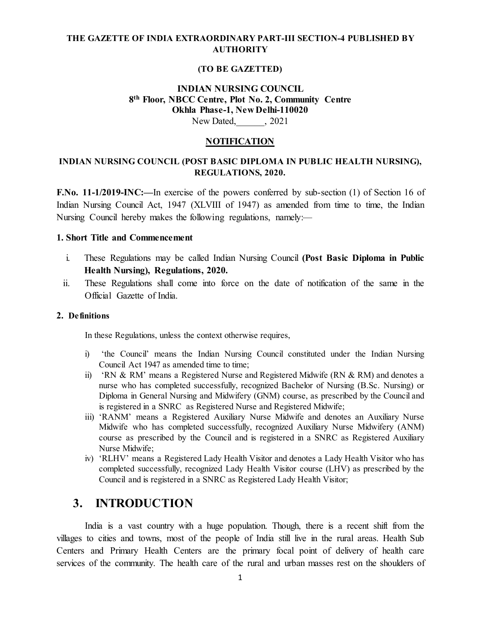### **THE GAZETTE OF INDIA EXTRAORDINARY PART-III SECTION-4 PUBLISHED BY AUTHORITY**

#### **(TO BE GAZETTED)**

### **INDIAN NURSING COUNCIL 8th Floor, NBCC Centre, Plot No. 2, Community Centre Okhla Phase-1, New Delhi-110020**

New Dated, 2021

#### **NOTIFICATION**

### **INDIAN NURSING COUNCIL (POST BASIC DIPLOMA IN PUBLIC HEALTH NURSING), REGULATIONS, 2020.**

**F.No. 11-1/2019-INC:—**In exercise of the powers conferred by sub-section (1) of Section 16 of Indian Nursing Council Act, 1947 (XLVIII of 1947) as amended from time to time, the Indian Nursing Council hereby makes the following regulations, namely:—

#### **1. Short Title and Commencement**

- i. These Regulations may be called Indian Nursing Council **(Post Basic Diploma in Public Health Nursing), Regulations, 2020.**
- ii. These Regulations shall come into force on the date of notification of the same in the Official Gazette of India.

#### **2. Definitions**

In these Regulations, unless the context otherwise requires,

- i) 'the Council' means the Indian Nursing Council constituted under the Indian Nursing Council Act 1947 as amended time to time:
- ii) 'RN & RM' means a Registered Nurse and Registered Midwife (RN & RM) and denotes a nurse who has completed successfully, recognized Bachelor of Nursing (B.Sc. Nursing) or Diploma in General Nursing and Midwifery (GNM) course, as prescribed by the Council and is registered in a SNRC as Registered Nurse and Registered Midwife;
- iii) 'RANM' means a Registered Auxiliary Nurse Midwife and denotes an Auxiliary Nurse Midwife who has completed successfully, recognized Auxiliary Nurse Midwifery (ANM) course as prescribed by the Council and is registered in a SNRC as Registered Auxiliary Nurse Midwife;
- iv) 'RLHV' means a Registered Lady Health Visitor and denotes a Lady Health Visitor who has completed successfully, recognized Lady Health Visitor course (LHV) as prescribed by the Council and is registered in a SNRC as Registered Lady Health Visitor;

### **3. INTRODUCTION**

India is a vast country with a huge population. Though, there is a recent shift from the villages to cities and towns, most of the people of India still live in the rural areas. Health Sub Centers and Primary Health Centers are the primary focal point of delivery of health care services of the community. The health care of the rural and urban masses rest on the shoulders of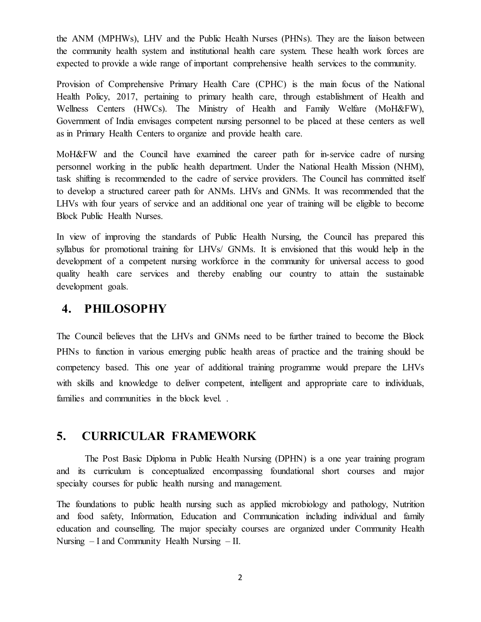the ANM (MPHWs), LHV and the Public Health Nurses (PHNs). They are the liaison between the community health system and institutional health care system. These health work forces are expected to provide a wide range of important comprehensive health services to the community.

Provision of Comprehensive Primary Health Care (CPHC) is the main focus of the National Health Policy, 2017, pertaining to primary health care, through establishment of Health and Wellness Centers (HWCs). The Ministry of Health and Family Welfare (MoH&FW), Government of India envisages competent nursing personnel to be placed at these centers as well as in Primary Health Centers to organize and provide health care.

MoH&FW and the Council have examined the career path for in-service cadre of nursing personnel working in the public health department. Under the National Health Mission (NHM), task shifting is recommended to the cadre of service providers. The Council has committed itself to develop a structured career path for ANMs. LHVs and GNMs. It was recommended that the LHVs with four years of service and an additional one year of training will be eligible to become Block Public Health Nurses.

In view of improving the standards of Public Health Nursing, the Council has prepared this syllabus for promotional training for LHVs/ GNMs. It is envisioned that this would help in the development of a competent nursing workforce in the community for universal access to good quality health care services and thereby enabling our country to attain the sustainable development goals.

## **4. PHILOSOPHY**

The Council believes that the LHVs and GNMs need to be further trained to become the Block PHNs to function in various emerging public health areas of practice and the training should be competency based. This one year of additional training programme would prepare the LHVs with skills and knowledge to deliver competent, intelligent and appropriate care to individuals, families and communities in the block level. .

## **5. CURRICULAR FRAMEWORK**

The Post Basic Diploma in Public Health Nursing (DPHN) is a one year training program and its curriculum is conceptualized encompassing foundational short courses and major specialty courses for public health nursing and management.

The foundations to public health nursing such as applied microbiology and pathology, Nutrition and food safety, Information, Education and Communication including individual and family education and counselling. The major specialty courses are organized under Community Health Nursing – I and Community Health Nursing – II.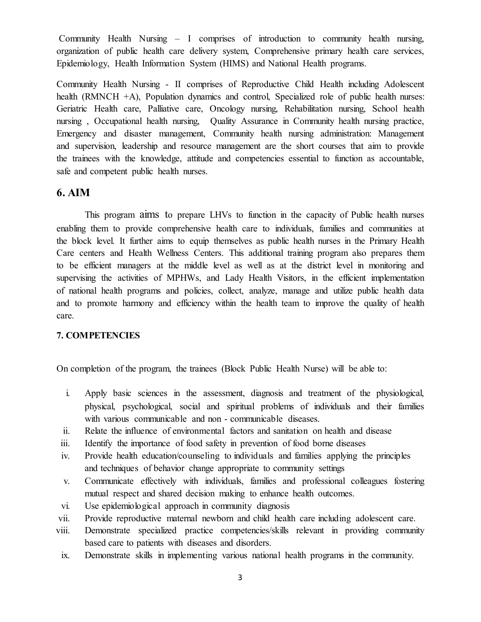Community Health Nursing – I comprises of introduction to community health nursing, organization of public health care delivery system, Comprehensive primary health care services, Epidemiology, Health Information System (HIMS) and National Health programs.

Community Health Nursing - II comprises of Reproductive Child Health including Adolescent health (RMNCH +A), Population dynamics and control, Specialized role of public health nurses: Geriatric Health care, Palliative care, Oncology nursing, Rehabilitation nursing, School health nursing , Occupational health nursing, Quality Assurance in Community health nursing practice, Emergency and disaster management, Community health nursing administration: Management and supervision, leadership and resource management are the short courses that aim to provide the trainees with the knowledge, attitude and competencies essential to function as accountable, safe and competent public health nurses.

### **6. AIM**

This program aims to prepare LHVs to function in the capacity of Public health nurses enabling them to provide comprehensive health care to individuals, families and communities at the block level. It further aims to equip themselves as public health nurses in the Primary Health Care centers and Health Wellness Centers. This additional training program also prepares them to be efficient managers at the middle level as well as at the district level in monitoring and supervising the activities of MPHWs, and Lady Health Visitors, in the efficient implementation of national health programs and policies, collect, analyze, manage and utilize public health data and to promote harmony and efficiency within the health team to improve the quality of health care.

#### **7. COMPETENCIES**

On completion of the program, the trainees (Block Public Health Nurse) will be able to:

- i. Apply basic sciences in the assessment, diagnosis and treatment of the physiological, physical, psychological, social and spiritual problems of individuals and their families with various communicable and non - communicable diseases.
- ii. Relate the influence of environmental factors and sanitation on health and disease
- iii. Identify the importance of food safety in prevention of food borne diseases
- iv. Provide health education/counseling to individuals and families applying the principles and techniques of behavior change appropriate to community settings
- v. Communicate effectively with individuals, families and professional colleagues fostering mutual respect and shared decision making to enhance health outcomes.
- vi. Use epidemiological approach in community diagnosis
- vii. Provide reproductive maternal newborn and child health care including adolescent care.
- viii. Demonstrate specialized practice competencies/skills relevant in providing community based care to patients with diseases and disorders.
- ix. Demonstrate skills in implementing various national health programs in the community.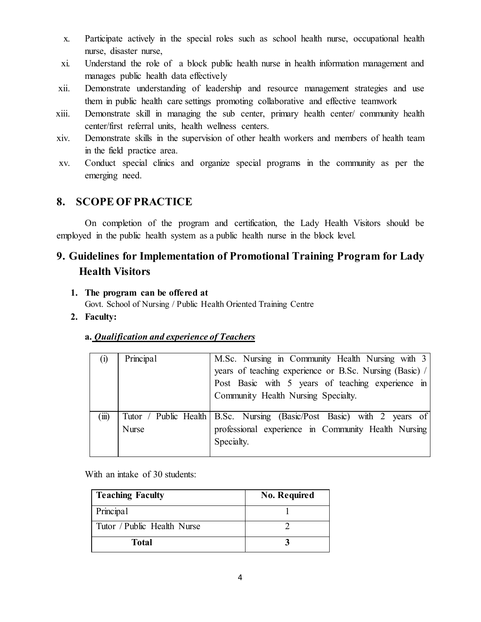- x. Participate actively in the special roles such as school health nurse, occupational health nurse, disaster nurse,
- xi. Understand the role of a block public health nurse in health information management and manages public health data effectively
- xii. Demonstrate understanding of leadership and resource management strategies and use them in public health care settings promoting collaborative and effective teamwork
- xiii. Demonstrate skill in managing the sub center, primary health center/ community health center/first referral units, health wellness centers.
- xiv. Demonstrate skills in the supervision of other health workers and members of health team in the field practice area.
- xv. Conduct special clinics and organize special programs in the community as per the emerging need.

## **8. SCOPE OF PRACTICE**

On completion of the program and certification, the Lady Health Visitors should be employed in the public health system as a public health nurse in the block level.

## **9. Guidelines for Implementation of Promotional Training Program for Lady Health Visitors**

### **1. The program can be offered at**

Govt. School of Nursing / Public Health Oriented Training Centre

**2. Faculty:**

### **a.** *Qualification and experience of Teachers*

| $\left( i\right)$ | Principal    | M.Sc. Nursing in Community Health Nursing with 3<br>years of teaching experience or B.Sc. Nursing (Basic) /<br>Post Basic with 5 years of teaching experience in<br>Community Health Nursing Specialty. |
|-------------------|--------------|---------------------------------------------------------------------------------------------------------------------------------------------------------------------------------------------------------|
| (111)             | <b>Nurse</b> | Tutor / Public Health   B.Sc. Nursing (Basic/Post Basic) with 2 years of<br>professional experience in Community Health Nursing<br>Specialty.                                                           |

With an intake of 30 students:

| <b>Teaching Faculty</b>     | <b>No. Required</b> |
|-----------------------------|---------------------|
| Principal                   |                     |
| Tutor / Public Health Nurse |                     |
| <b>Total</b>                |                     |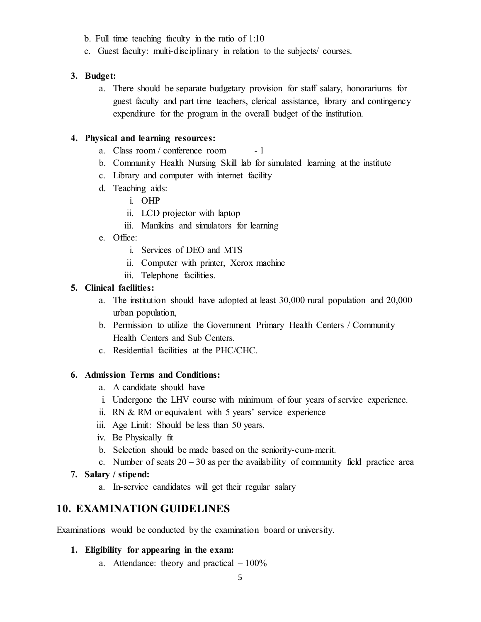- b. Full time teaching faculty in the ratio of 1:10
- c. Guest faculty: multi-disciplinary in relation to the subjects/ courses.

### **3. Budget:**

a. There should be separate budgetary provision for staff salary, honorariums for guest faculty and part time teachers, clerical assistance, library and contingency expenditure for the program in the overall budget of the institution.

### **4. Physical and learning resources:**

- a. Class room / conference room 1
- b. Community Health Nursing Skill lab for simulated learning at the institute
- c. Library and computer with internet facility
- d. Teaching aids:
	- i. OHP
	- ii. LCD projector with laptop
	- iii. Manikins and simulators for learning
- e. Office:
	- i. Services of DEO and MTS
	- ii. Computer with printer, Xerox machine
	- iii. Telephone facilities.

### **5. Clinical facilities:**

- a. The institution should have adopted at least 30,000 rural population and 20,000 urban population,
- b. Permission to utilize the Government Primary Health Centers / Community Health Centers and Sub Centers.
- c. Residential facilities at the PHC/CHC.

### **6. Admission Terms and Conditions:**

- a. A candidate should have
- i. Undergone the LHV course with minimum of four years of service experience.
- ii. RN & RM or equivalent with 5 years' service experience
- iii. Age Limit: Should be less than 50 years.
- iv. Be Physically fit
- b. Selection should be made based on the seniority-cum-merit.
- c. Number of seats  $20 30$  as per the availability of community field practice area

#### **7. Salary / stipend:**

a. In-service candidates will get their regular salary

### **10. EXAMINATION GUIDELINES**

Examinations would be conducted by the examination board or university.

#### **1. Eligibility for appearing in the exam:**

a. Attendance: theory and practical  $-100\%$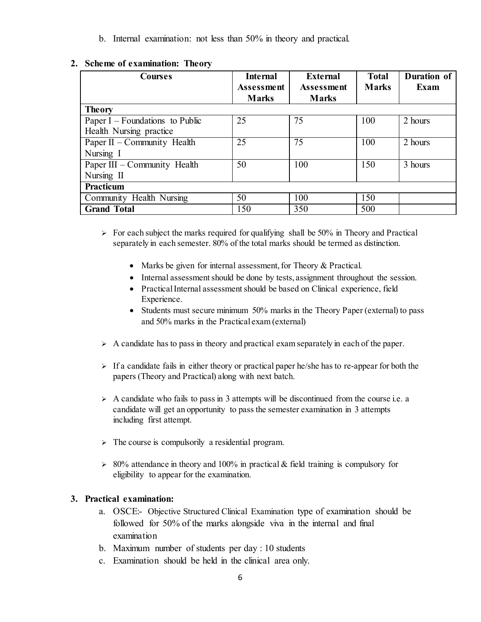b. Internal examination: not less than 50% in theory and practical.

| <b>Courses</b>                    | <b>Internal</b><br><b>Assessment</b> | External<br><b>Assessment</b> | <b>Total</b><br><b>Marks</b> | Duration of<br>Exam |
|-----------------------------------|--------------------------------------|-------------------------------|------------------------------|---------------------|
|                                   | <b>Marks</b>                         | <b>Marks</b>                  |                              |                     |
| <b>Theory</b>                     |                                      |                               |                              |                     |
| Paper $I$ – Foundations to Public | 25                                   | 75                            | 100                          | 2 hours             |
| Health Nursing practice           |                                      |                               |                              |                     |
| Paper II – Community Health       | 25                                   | 75                            | 100                          | 2 hours             |
| Nursing I                         |                                      |                               |                              |                     |
| Paper III – Community Health      | 50                                   | 100                           | 150                          | 3 hours             |
| Nursing II                        |                                      |                               |                              |                     |
| Practicum                         |                                      |                               |                              |                     |
| Community Health Nursing          | 50                                   | 100                           | 150                          |                     |
| <b>Grand Total</b>                | 150                                  | 350                           | 500                          |                     |

### **2. Scheme of examination: Theory**

 $\triangleright$  For each subject the marks required for qualifying shall be 50% in Theory and Practical separately in each semester. 80% of the total marks should be termed as distinction.

- Marks be given for internal assessment, for Theory & Practical.
- Internal assessment should be done by tests, assignment throughout the session.
- Practical Internal assessment should be based on Clinical experience, field Experience.
- Students must secure minimum 50% marks in the Theory Paper (external) to pass and 50% marks in the Practical exam (external)
- $\triangleright$  A candidate has to pass in theory and practical exam separately in each of the paper.
- $\triangleright$  If a candidate fails in either theory or practical paper he/she has to re-appear for both the papers (Theory and Practical) along with next batch.
- $\triangleright$  A candidate who fails to pass in 3 attempts will be discontinued from the course i.e. a candidate will get an opportunity to pass the semester examination in 3 attempts including first attempt.
- $\triangleright$  The course is compulsorily a residential program.
- $\geq$  80% attendance in theory and 100% in practical & field training is compulsory for eligibility to appear for the examination.

### **3. Practical examination:**

- a. OSCE:- Objective Structured Clinical Examination type of examination should be followed for 50% of the marks alongside viva in the internal and final examination
- b. Maximum number of students per day : 10 students
- c. Examination should be held in the clinical area only.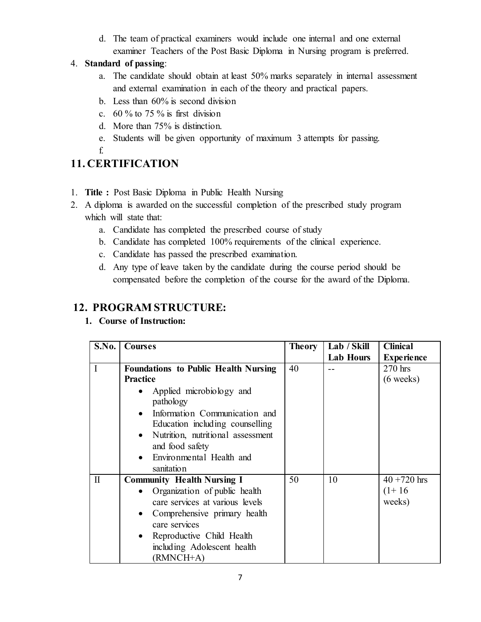d. The team of practical examiners would include one internal and one external examiner Teachers of the Post Basic Diploma in Nursing program is preferred.

### 4. **Standard of passing**:

- a. The candidate should obtain at least 50% marks separately in internal assessment and external examination in each of the theory and practical papers.
- b. Less than 60% is second division
- c.  $60\%$  to 75 % is first division
- d. More than 75% is distinction.
- e. Students will be given opportunity of maximum 3 attempts for passing.
- f.

# **11. CERTIFICATION**

- 1. **Title :** Post Basic Diploma in Public Health Nursing
- 2. A diploma is awarded on the successful completion of the prescribed study program which will state that:
	- a. Candidate has completed the prescribed course of study
	- b. Candidate has completed 100% requirements of the clinical experience.
	- c. Candidate has passed the prescribed examination.
	- d. Any type of leave taken by the candidate during the course period should be compensated before the completion of the course for the award of the Diploma.

## **12. PROGRAM STRUCTURE:**

**1. Course of Instruction:**

| S.No.        | <b>Courses</b>                              | <b>Theory</b> | Lab / Skill      | <b>Clinical</b>     |
|--------------|---------------------------------------------|---------------|------------------|---------------------|
|              |                                             |               | <b>Lab Hours</b> | <b>Experience</b>   |
| $\mathbf{I}$ | <b>Foundations to Public Health Nursing</b> | 40            |                  | $270$ hrs           |
|              | <b>Practice</b>                             |               |                  | $(6 \text{ weeks})$ |
|              | Applied microbiology and                    |               |                  |                     |
|              | pathology                                   |               |                  |                     |
|              | Information Communication and               |               |                  |                     |
|              | Education including counselling             |               |                  |                     |
|              | Nutrition, nutritional assessment           |               |                  |                     |
|              | and food safety                             |               |                  |                     |
|              | Environmental Health and                    |               |                  |                     |
|              | sanitation                                  |               |                  |                     |
| $\mathbf{I}$ | <b>Community Health Nursing I</b>           | 50            | 10               | $40 + 720$ hrs      |
|              | Organization of public health               |               |                  | $(1+16)$            |
|              | care services at various levels             |               |                  | weeks)              |
|              | Comprehensive primary health                |               |                  |                     |
|              | care services                               |               |                  |                     |
|              | Reproductive Child Health                   |               |                  |                     |
|              | including Adolescent health                 |               |                  |                     |
|              | (RMNCH+A)                                   |               |                  |                     |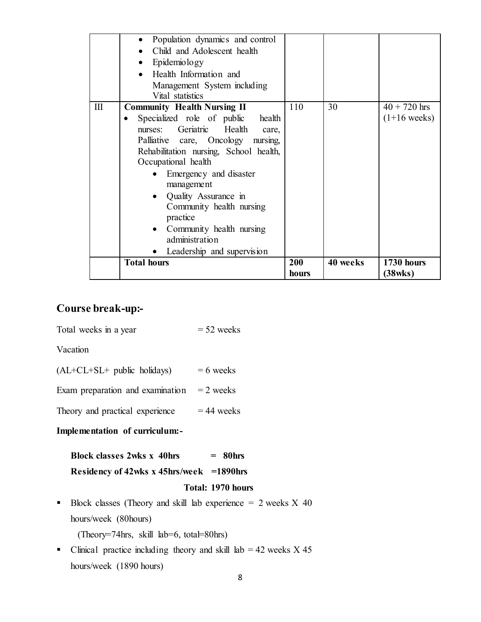|     | Population dynamics and control<br>$\bullet$<br>Child and Adolescent health<br>Epidemiology<br>Health Information and<br>Management System including<br>Vital statistics                                                                                                                                                                                                                                        |                     |          |                                  |
|-----|-----------------------------------------------------------------------------------------------------------------------------------------------------------------------------------------------------------------------------------------------------------------------------------------------------------------------------------------------------------------------------------------------------------------|---------------------|----------|----------------------------------|
| III | <b>Community Health Nursing II</b><br>Specialized role of public<br>health<br>Geriatric Health<br>nurses:<br>care.<br>Palliative care, Oncology nursing,<br>Rehabilitation nursing, School health,<br>Occupational health<br>Emergency and disaster<br>management<br>Quality Assurance in<br>Community health nursing<br>practice<br>Community health nursing<br>administration<br>• Leadership and supervision | 110                 | 30       | $40 + 720$ hrs<br>$(1+16$ weeks) |
|     | <b>Total hours</b>                                                                                                                                                                                                                                                                                                                                                                                              | <b>200</b><br>hours | 40 weeks | 1730 hours<br>(38wks)            |

## **Course break-up:-**

Total weeks in a year  $= 52$  weeks

Vacation

| $(AL+CL+SL+$ public holidays) |  |  | $= 6$ weeks |
|-------------------------------|--|--|-------------|
|-------------------------------|--|--|-------------|

Exam preparation and examination  $= 2$  weeks

Theory and practical experience  $= 44$  weeks

### **Implementation of curriculum:-**

|  | <b>Block classes 2wks x 40hrs</b> |  | $=$ 80 <sub>hrs</sub> |
|--|-----------------------------------|--|-----------------------|
|  |                                   |  |                       |

### **Residency of 42wks x 45hrs/week =1890hrs**

#### **Total: 1970 hours**

Block classes (Theory and skill lab experience  $= 2$  weeks X 40 hours/week (80hours)

(Theory=74hrs, skill lab=6, total=80hrs)

• Clinical practice including theory and skill lab  $= 42$  weeks X 45 hours/week (1890 hours)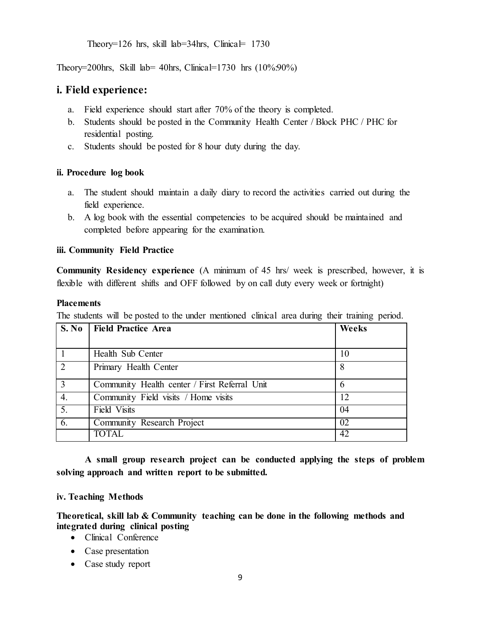Theory=126 hrs, skill lab=34hrs, Clinical=  $1730$ 

Theory=200hrs, Skill lab= 40hrs, Clinical=1730 hrs (10%:90%)

### **i. Field experience:**

- a. Field experience should start after 70% of the theory is completed.
- b. Students should be posted in the Community Health Center / Block PHC / PHC for residential posting.
- c. Students should be posted for 8 hour duty during the day.

### **ii. Procedure log book**

- a. The student should maintain a daily diary to record the activities carried out during the field experience.
- b. A log book with the essential competencies to be acquired should be maintained and completed before appearing for the examination.

### **iii. Community Field Practice**

**Community Residency experience** (A minimum of 45 hrs/ week is prescribed, however, it is flexible with different shifts and OFF followed by on call duty every week or fortnight)

#### **Placements**

The students will be posted to the under mentioned clinical area during their training period.

| S. No            | Field Practice Area                           | Weeks |
|------------------|-----------------------------------------------|-------|
|                  | Health Sub Center                             | 10    |
| $\overline{2}$   | Primary Health Center                         | 8     |
|                  | Community Health center / First Referral Unit | 6     |
| $\overline{4}$ . | Community Field visits / Home visits          | 12    |
| $\overline{5}$ . | Field Visits                                  | 04    |
| 6.               | Community Research Project                    | 02    |
|                  | <b>TOTAL</b>                                  | 42    |

**A small group research project can be conducted applying the steps of problem solving approach and written report to be submitted.**

#### **iv. Teaching Methods**

**Theoretical, skill lab & Community teaching can be done in the following methods and integrated during clinical posting**

- Clinical Conference
- Case presentation
- Case study report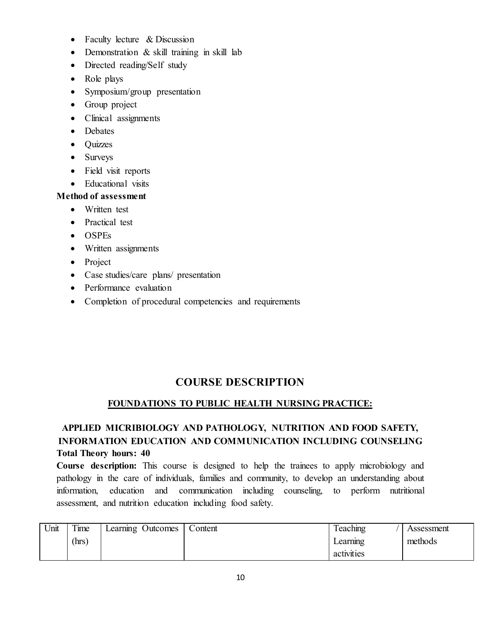- Faculty lecture & Discussion
- Demonstration & skill training in skill lab
- Directed reading/Self study
- Role plays
- Symposium/group presentation
- Group project
- Clinical assignments
- Debates
- Quizzes
- Surveys
- Field visit reports
- Educational visits

### **Method of assessment**

- Written test
- Practical test
- OSPEs
- Written assignments
- Project
- Case studies/care plans/ presentation
- Performance evaluation
- Completion of procedural competencies and requirements

## **COURSE DESCRIPTION**

### **FOUNDATIONS TO PUBLIC HEALTH NURSING PRACTICE:**

### **APPLIED MICRIBIOLOGY AND PATHOLOGY, NUTRITION AND FOOD SAFETY, INFORMATION EDUCATION AND COMMUNICATION INCLUDING COUNSELING Total Theory hours: 40**

**Course description:** This course is designed to help the trainees to apply microbiology and pathology in the care of individuals, families and community, to develop an understanding about information, education and communication including counseling, to perform nutritional assessment, and nutrition education including food safety.

| Unit | Time  | Learning Outcomes | Content | l eaching  | Assessment |
|------|-------|-------------------|---------|------------|------------|
|      | (hrs) |                   |         | Learning   | methods    |
|      |       |                   |         | activities |            |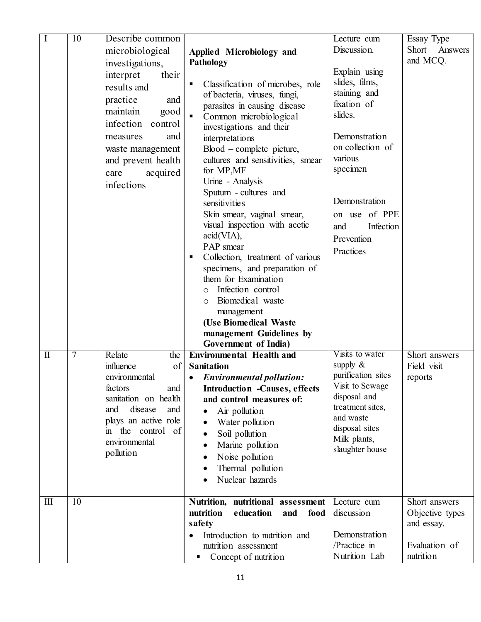| $\mathbf I$                      | 10             | Describe common       |                                              | Lecture cum                   | Essay Type       |
|----------------------------------|----------------|-----------------------|----------------------------------------------|-------------------------------|------------------|
|                                  |                | microbiological       | Applied Microbiology and                     | Discussion.                   | Answers<br>Short |
|                                  |                |                       | Pathology                                    |                               | and MCQ.         |
|                                  |                | investigations,       |                                              | Explain using                 |                  |
|                                  |                | interpret<br>their    | Classification of microbes, role<br>п        | slides, films,                |                  |
|                                  |                | results and           | of bacteria, viruses, fungi,                 | staining and                  |                  |
|                                  |                | practice<br>and       | parasites in causing disease                 | fixation of                   |                  |
|                                  |                | maintain<br>good      | Common microbiological                       | slides.                       |                  |
|                                  |                | infection<br>control  | investigations and their                     |                               |                  |
|                                  |                | and<br>measures       | interpretations                              | Demonstration                 |                  |
|                                  |                | waste management      | $Blood$ – complete picture,                  | on collection of              |                  |
|                                  |                | and prevent health    | cultures and sensitivities, smear            | various                       |                  |
|                                  |                |                       | for MP, MF                                   | specimen                      |                  |
|                                  |                | acquired<br>care      | Urine - Analysis                             |                               |                  |
|                                  |                | infections            | Sputum - cultures and                        |                               |                  |
|                                  |                |                       | sensitivities                                | Demonstration                 |                  |
|                                  |                |                       | Skin smear, vaginal smear,                   | on use of PPE                 |                  |
|                                  |                |                       | visual inspection with acetic                | Infection<br>and              |                  |
|                                  |                |                       | acid(VIA),                                   | Prevention                    |                  |
|                                  |                |                       | PAP smear                                    |                               |                  |
|                                  |                |                       | Collection, treatment of various<br>п        | Practices                     |                  |
|                                  |                |                       | specimens, and preparation of                |                               |                  |
|                                  |                |                       | them for Examination                         |                               |                  |
|                                  |                |                       | Infection control<br>$\circ$                 |                               |                  |
|                                  |                |                       | Biomedical waste<br>$\circ$                  |                               |                  |
|                                  |                |                       | management                                   |                               |                  |
|                                  |                |                       | (Use Biomedical Waste                        |                               |                  |
|                                  |                |                       | management Guidelines by                     |                               |                  |
|                                  |                |                       | Government of India)                         |                               |                  |
| $\mathbf{I}$                     | $\overline{7}$ | Relate<br>the         | <b>Environmental Health and</b>              | Visits to water               | Short answers    |
|                                  |                | of<br>influence       | <b>Sanitation</b>                            | supply $\&$                   | Field visit      |
|                                  |                | environmental         | <b>Environmental pollution:</b><br>$\bullet$ | purification sites            | reports          |
|                                  |                | factors<br>and        | <b>Introduction -Causes, effects</b>         | Visit to Sewage               |                  |
|                                  |                | sanitation on health  | and control measures of:                     | disposal and                  |                  |
|                                  |                | disease<br>and<br>and | Air pollution                                | treatment sites,<br>and waste |                  |
|                                  |                | plays an active role  | Water pollution                              | disposal sites                |                  |
|                                  |                | in the control of     | Soil pollution<br>٠                          | Milk plants,                  |                  |
|                                  |                | environmental         | Marine pollution                             | slaughter house               |                  |
|                                  |                | pollution             | Noise pollution                              |                               |                  |
|                                  |                |                       | Thermal pollution                            |                               |                  |
|                                  |                |                       | Nuclear hazards                              |                               |                  |
|                                  |                |                       |                                              |                               |                  |
| $\mathop{\mathrm{III}}\nolimits$ | 10             |                       | Nutrition, nutritional assessment            | Lecture cum                   | Short answers    |
|                                  |                |                       | nutrition<br>education<br>food<br>and        | discussion                    | Objective types  |
|                                  |                |                       | safety                                       |                               | and essay.       |
|                                  |                |                       | Introduction to nutrition and                | Demonstration                 |                  |
|                                  |                |                       | nutrition assessment                         | /Practice in                  | Evaluation of    |
|                                  |                |                       | Concept of nutrition                         | Nutrition Lab                 | nutrition        |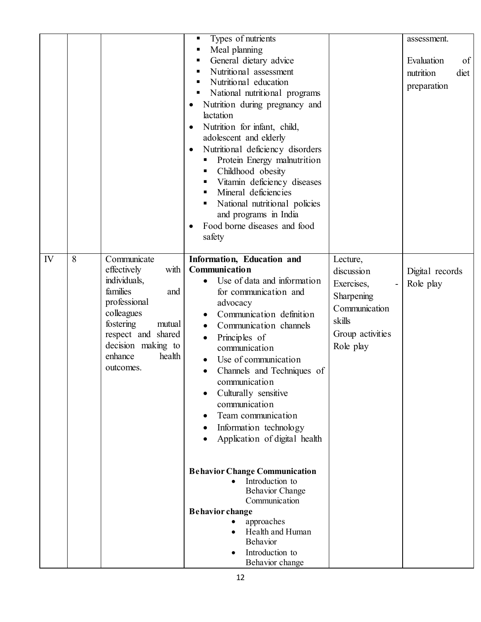|         |                                                                                                                                                                                                          | Types of nutrients<br>Meal planning<br>п<br>General dietary advice<br>п<br>Nutritional assessment<br>п<br>Nutritional education<br>National nutritional programs<br>Nutrition during pregnancy and<br>٠<br>lactation<br>Nutrition for infant, child,<br>$\bullet$<br>adolescent and elderly<br>Nutritional deficiency disorders<br>$\bullet$<br>Protein Energy malnutrition<br>Childhood obesity<br>ш<br>Vitamin deficiency diseases<br>п<br>Mineral deficiencies<br>٠<br>National nutritional policies<br>ш<br>and programs in India<br>Food borne diseases and food<br>safety                                                                         |                                                                                                                                            | assessment.<br>of<br>Evaluation<br>nutrition<br>diet<br>preparation |
|---------|----------------------------------------------------------------------------------------------------------------------------------------------------------------------------------------------------------|---------------------------------------------------------------------------------------------------------------------------------------------------------------------------------------------------------------------------------------------------------------------------------------------------------------------------------------------------------------------------------------------------------------------------------------------------------------------------------------------------------------------------------------------------------------------------------------------------------------------------------------------------------|--------------------------------------------------------------------------------------------------------------------------------------------|---------------------------------------------------------------------|
| IV<br>8 | Communicate<br>with<br>effectively<br>individuals,<br>families<br>and<br>professional<br>colleagues<br>fostering<br>mutual<br>respect and shared<br>decision making to<br>enhance<br>health<br>outcomes. | Information, Education and<br><b>Communication</b><br>Use of data and information<br>for communication and<br>advocacy<br>Communication definition<br>Communication channels<br>Principles of<br>communication<br>Use of communication<br>$\bullet$<br>Channels and Techniques of<br>communication<br>Culturally sensitive<br>communication<br>Team communication<br>Information technology<br>Application of digital health<br><b>Behavior Change Communication</b><br>Introduction to<br><b>Behavior Change</b><br>Communication<br><b>Behavior change</b><br>approaches<br>Health and Human<br><b>Behavior</b><br>Introduction to<br>Behavior change | Lecture,<br>discussion<br>Exercises,<br>$\overline{\phantom{0}}$<br>Sharpening<br>Communication<br>skills<br>Group activities<br>Role play | Digital records<br>Role play                                        |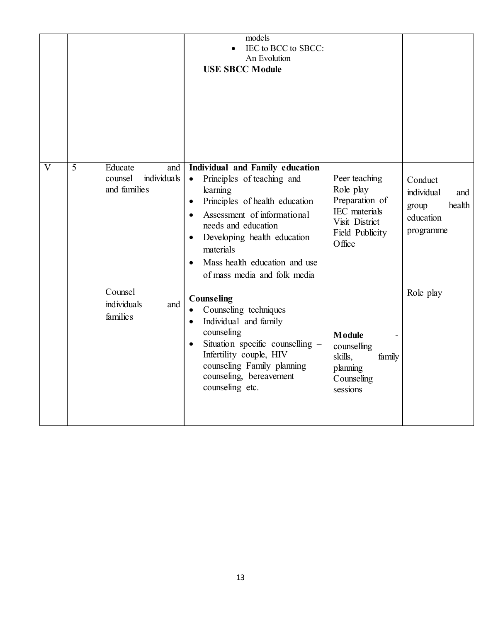|   |   |                                                          | models<br>IEC to BCC to SBCC:<br>An Evolution<br><b>USE SBCC Module</b>                                                                                                                                                                                                                                                            |                                                                                                                     |                                                                           |
|---|---|----------------------------------------------------------|------------------------------------------------------------------------------------------------------------------------------------------------------------------------------------------------------------------------------------------------------------------------------------------------------------------------------------|---------------------------------------------------------------------------------------------------------------------|---------------------------------------------------------------------------|
| V | 5 | Educate<br>and<br>individuals<br>counsel<br>and families | Individual and Family education<br>Principles of teaching and<br>$\bullet$<br>learning<br>Principles of health education<br>$\bullet$<br>Assessment of informational<br>$\bullet$<br>needs and education<br>Developing health education<br>materials<br>Mass health education and use<br>$\bullet$<br>of mass media and folk media | Peer teaching<br>Role play<br>Preparation of<br><b>IEC</b> materials<br>Visit District<br>Field Publicity<br>Office | Conduct<br>individual<br>and<br>health<br>group<br>education<br>programme |
|   |   | Counsel<br>individuals<br>and<br>families                | <b>Counseling</b><br>Counseling techniques<br>$\bullet$<br>Individual and family<br>$\bullet$<br>counseling<br>Situation specific counselling -<br>$\bullet$<br>Infertility couple, HIV<br>counseling Family planning<br>counseling, bereavement<br>counseling etc.                                                                | <b>Module</b><br>counselling<br>skills,<br>family<br>planning<br>Counseling<br>sessions                             | Role play                                                                 |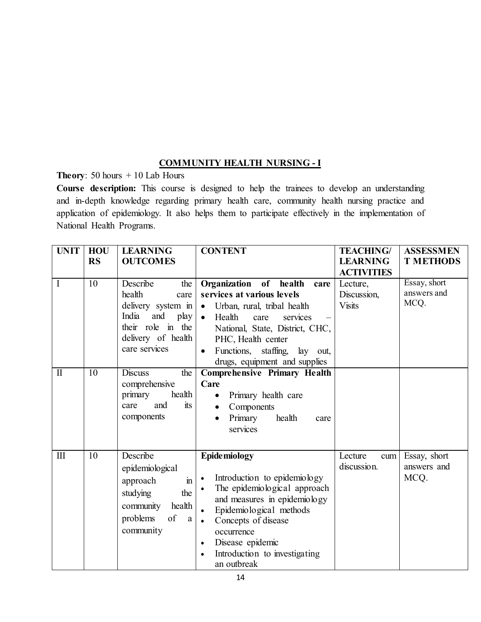### **COMMUNITY HEALTH NURSING - I**

**Theory**: 50 hours + 10 Lab Hours

**Course description:** This course is designed to help the trainees to develop an understanding and in-depth knowledge regarding primary health care, community health nursing practice and application of epidemiology. It also helps them to participate effectively in the implementation of National Health Programs.

| <b>UNIT</b>                         | <b>HOU</b><br><b>RS</b> | <b>LEARNING</b><br><b>OUTCOMES</b>                                                                                                                                | <b>CONTENT</b>                                                                                                                                                                                                                                                                                                           | <b>TEACHING/</b><br><b>LEARNING</b><br><b>ACTIVITIES</b> | <b>ASSESSMEN</b><br><b>T METHODS</b> |
|-------------------------------------|-------------------------|-------------------------------------------------------------------------------------------------------------------------------------------------------------------|--------------------------------------------------------------------------------------------------------------------------------------------------------------------------------------------------------------------------------------------------------------------------------------------------------------------------|----------------------------------------------------------|--------------------------------------|
| $\bf{I}$<br>$\overline{\mathbf{I}}$ | 10<br>10                | Describe<br>the<br>health<br>care<br>delivery system in<br>India<br>and play<br>their role in the<br>delivery of health<br>care services<br><b>Discuss</b><br>the | Organization of health<br>care<br>services at various levels<br>Urban, rural, tribal health<br>$\bullet$<br>Health<br>services<br>$\bullet$<br>care<br>National, State, District, CHC,<br>PHC, Health center<br>Functions, staffing,<br>lay out,<br>drugs, equipment and supplies<br><b>Comprehensive Primary Health</b> | Lecture,<br>Discussion,<br><b>Visits</b>                 | Essay, short<br>answers and<br>MCQ.  |
|                                     |                         | comprehensive<br>primary<br>health<br>and<br>its<br>care<br>components                                                                                            | Care<br>Primary health care<br>$\bullet$<br>Components<br>$\bullet$<br>Primary<br>health<br>care<br>services                                                                                                                                                                                                             |                                                          |                                      |
| $\mathbf{I}$                        | 10                      | Describe<br>epidemiological<br>$\mathbf{m}$<br>approach<br>studying<br>the<br>community<br>health<br>of<br>problems<br>a<br>community                             | <b>Epidemiology</b><br>Introduction to epidemiology<br>$\bullet$<br>The epidemiological approach<br>and measures in epidemiology<br>Epidemiological methods<br>Concepts of disease<br>$\bullet$<br>occurrence<br>Disease epidemic<br>Introduction to investigating<br>an outbreak                                        | Lecture<br>cum<br>discussion.                            | Essay, short<br>answers and<br>MCQ.  |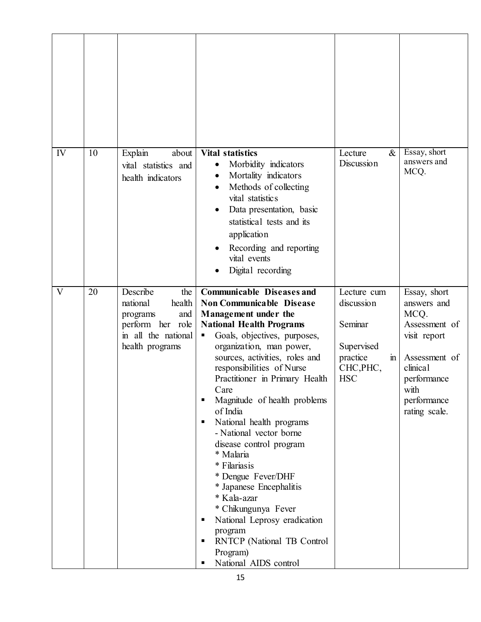| IV | 10 | Explain<br>about<br>vital statistics and<br>health indicators                                                          | <b>Vital statistics</b><br>Morbidity indicators<br>٠<br>Mortality indicators<br>Methods of collecting<br>vital statistics<br>Data presentation, basic<br>statistical tests and its<br>application<br>Recording and reporting<br>vital events<br>Digital recording                                                                                                                                                                                                                                                                                                                                                                                                                    | Lecture<br>$\&$<br>Discussion                                                                  | Essay, short<br>answers and<br>MCQ.                                                                                                                      |
|----|----|------------------------------------------------------------------------------------------------------------------------|--------------------------------------------------------------------------------------------------------------------------------------------------------------------------------------------------------------------------------------------------------------------------------------------------------------------------------------------------------------------------------------------------------------------------------------------------------------------------------------------------------------------------------------------------------------------------------------------------------------------------------------------------------------------------------------|------------------------------------------------------------------------------------------------|----------------------------------------------------------------------------------------------------------------------------------------------------------|
| V  | 20 | Describe<br>the<br>national<br>health<br>and<br>programs<br>perform her role<br>in all the national<br>health programs | <b>Communicable Diseases and</b><br><b>Non Communicable Disease</b><br>Management under the<br><b>National Health Programs</b><br>Goals, objectives, purposes,<br>п<br>organization, man power,<br>sources, activities, roles and<br>responsibilities of Nurse<br>Practitioner in Primary Health<br>Care<br>Magnitude of health problems<br>of India<br>National health programs<br>- National vector borne<br>disease control program<br>* Malaria<br>* Filariasis<br>* Dengue Fever/DHF<br>* Japanese Encephalitis<br>* Kala-azar<br>* Chikungunya Fever<br>National Leprosy eradication<br>program<br><b>RNTCP</b> (National TB Control<br>Program)<br>National AIDS control<br>п | Lecture cum<br>discussion<br>Seminar<br>Supervised<br>practice<br>m<br>CHC, PHC,<br><b>HSC</b> | Essay, short<br>answers and<br>MCQ.<br>Assessment of<br>visit report<br>Assessment of<br>clinical<br>performance<br>with<br>performance<br>rating scale. |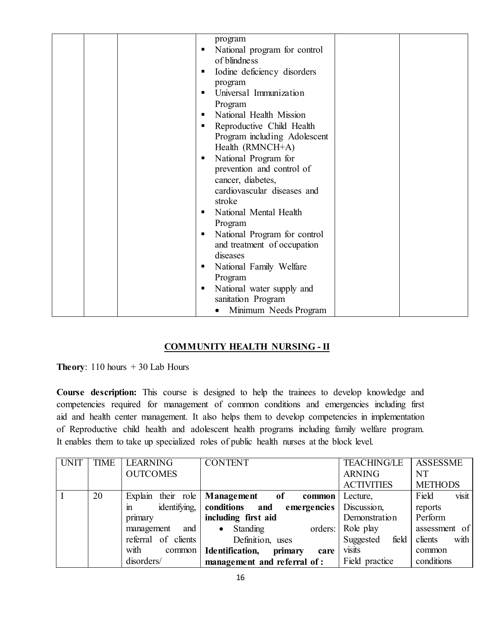| program<br>National program for control<br>of blindness<br>Iodine deficiency disorders<br>٠<br>program<br>Universal Immunization<br>Program<br>National Health Mission<br>Reproductive Child Health<br>٠<br>Program including Adolescent<br>Health (RMNCH+A)<br>National Program for<br>٠<br>prevention and control of<br>cancer, diabetes,<br>cardiovascular diseases and<br>stroke<br>National Mental Health<br>٠<br>Program<br>National Program for control<br>and treatment of occupation<br>diseases<br>National Family Welfare<br>п<br>Program |  |
|------------------------------------------------------------------------------------------------------------------------------------------------------------------------------------------------------------------------------------------------------------------------------------------------------------------------------------------------------------------------------------------------------------------------------------------------------------------------------------------------------------------------------------------------------|--|
| National water supply and<br>п<br>sanitation Program                                                                                                                                                                                                                                                                                                                                                                                                                                                                                                 |  |
| Minimum Needs Program                                                                                                                                                                                                                                                                                                                                                                                                                                                                                                                                |  |

### **COMMUNITY HEALTH NURSING - II**

**Theory**:  $110$  hours  $+30$  Lab Hours

**Course description:** This course is designed to help the trainees to develop knowledge and competencies required for management of common conditions and emergencies including first aid and health center management. It also helps them to develop competencies in implementation of Reproductive child health and adolescent health programs including family welfare program. It enables them to take up specialized roles of public health nurses at the block level.

| <b>UNIT</b> | <b>TIME</b> | <b>LEARNING</b>      | <b>CONTENT</b>                                 | <b>TEACHING/LE</b> | <b>ASSESSME</b> |
|-------------|-------------|----------------------|------------------------------------------------|--------------------|-----------------|
|             |             | <b>OUTCOMES</b>      |                                                | <b>ARNING</b>      | <b>NT</b>       |
|             |             |                      |                                                | <b>ACTIVITIES</b>  | <b>METHODS</b>  |
|             | 20          |                      | Explain their role   Management of<br>common   | Lecture,           | visit<br>Field  |
|             |             | $identifying$ .<br>m | emergencies   Discussion,<br>conditions<br>and |                    | reports         |
|             |             | primary              | including first aid                            | Demonstration      | Perform         |
|             |             | and  <br>management  | Standing<br>orders:<br>$\bullet$               | Role play          | assessment of   |
|             |             | referral of clients  | Definition, uses                               | Suggested<br>field | with<br>clients |
|             |             | with<br>common       | <b>Identification,</b><br>primary<br>care      | visits             | common          |
|             |             | disorders/           | management and referral of:                    | Field practice     | conditions      |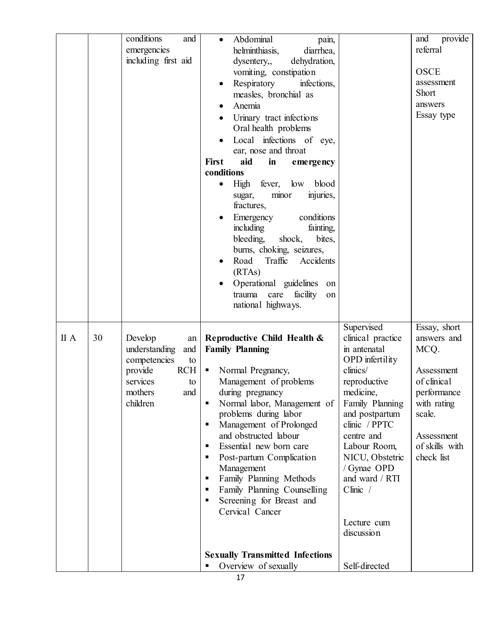|            | conditions<br>and<br>emergencies<br>including first aid                                                                           | Abdominal<br>pain,<br>$\bullet$<br>helminthiasis,<br>diarrhea,<br>dehydration,<br>dysentery,,<br>vomiting, constipation<br>Respiratory<br>infections,<br>$\bullet$<br>measles, bronchial as<br>Anemia<br>Urinary tract infections<br>Oral health problems<br>Local infections of eye,<br>ear, nose and throat<br><b>First</b><br>aid<br>in<br>emergency<br>conditions<br>High fever, low<br>blood<br>injuries,<br>sugar,<br>minor<br>fractures,<br>Emergency<br>conditions<br>including<br>fainting,<br>bleeding, shock,<br>bites,<br>burns, choking, seizures,<br>Traffic Accidents<br>Road<br>(RTAs)<br>Operational guidelines<br>on<br>facility<br>trauma care<br>on<br>national highways. |                                                                                                                                                                                                                                                                                                | and<br>provide<br>referral<br><b>OSCE</b><br>assessment<br><b>Short</b><br>answers<br>Essay type                                                       |
|------------|-----------------------------------------------------------------------------------------------------------------------------------|-----------------------------------------------------------------------------------------------------------------------------------------------------------------------------------------------------------------------------------------------------------------------------------------------------------------------------------------------------------------------------------------------------------------------------------------------------------------------------------------------------------------------------------------------------------------------------------------------------------------------------------------------------------------------------------------------|------------------------------------------------------------------------------------------------------------------------------------------------------------------------------------------------------------------------------------------------------------------------------------------------|--------------------------------------------------------------------------------------------------------------------------------------------------------|
| 30<br>II A | Develop<br>an<br>understanding<br>and  <br>competencies<br>to<br>provide<br>RCH<br>services<br>to  <br>mothers<br>and<br>children | Reproductive Child Health &<br><b>Family Planning</b><br>• Normal Pregnancy,<br>Management of problems<br>during pregnancy<br>Normal labor, Management of<br>problems during labor<br>Management of Prolonged<br>and obstructed labour<br>Essential new born care<br>Post-partum Complication<br>Management<br>Family Planning Methods<br>Family Planning Counselling<br>٠<br>Screening for Breast and<br>Cervical Cancer<br><b>Sexually Transmitted Infections</b>                                                                                                                                                                                                                           | Supervised<br>clinical practice<br>in antenatal<br>OPD infertility<br>clinics/<br>reproductive<br>medicine,<br>Family Planning<br>and postpartum<br>clinic / PPTC<br>centre and<br>Labour Room,<br>NICU, Obstetric<br>/ Gynae OPD<br>and ward / RTI<br>$Clinic$ /<br>Lecture cum<br>discussion | Essay, short<br>answers and<br>MCQ.<br>Assessment<br>of clinical<br>performance<br>with rating<br>scale.<br>Assessment<br>of skills with<br>check list |
|            |                                                                                                                                   | Overview of sexually<br>17                                                                                                                                                                                                                                                                                                                                                                                                                                                                                                                                                                                                                                                                    | Self-directed                                                                                                                                                                                                                                                                                  |                                                                                                                                                        |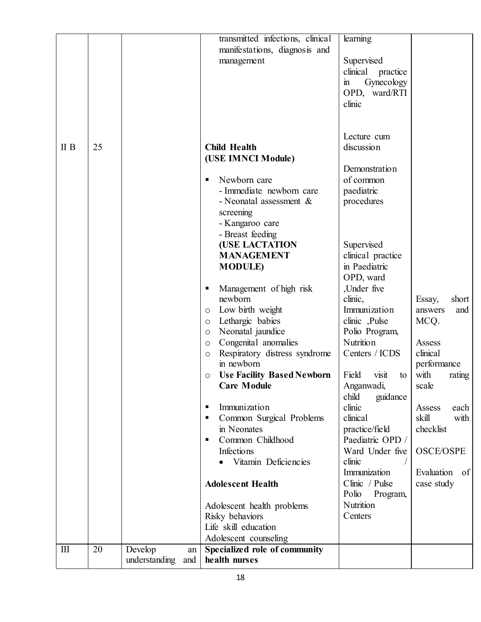| $\mathbf{I}$ | 20 | Develop<br>understanding<br>and | Specialized role of community<br>an<br>health nurses   |                                      |                                   |
|--------------|----|---------------------------------|--------------------------------------------------------|--------------------------------------|-----------------------------------|
|              |    |                                 | Life skill education<br>Adolescent counseling          |                                      |                                   |
|              |    |                                 | Adolescent health problems<br>Risky behaviors          | Nutrition<br>Centers                 |                                   |
|              |    |                                 | <b>Adolescent Health</b>                               | Polio<br>Program,                    | case study                        |
|              |    |                                 |                                                        | Immunization<br>Clinic / Pulse       | Evaluation of                     |
|              |    |                                 | Vitamin Deficiencies                                   | clinic                               |                                   |
|              |    |                                 | Common Childhood<br>٠<br><b>Infections</b>             | Paediatric OPD /<br>Ward Under five  | <b>OSCE/OSPE</b>                  |
|              |    |                                 | in Neonates                                            | practice/field                       | checklist                         |
|              |    |                                 | Common Surgical Problems                               | clinical                             | skill<br>with                     |
|              |    |                                 | Immunization<br>п                                      | guidance<br>child<br>clinic          | Assess<br>each                    |
|              |    |                                 | <b>Care Module</b>                                     | Anganwadi,                           | scale                             |
|              |    |                                 | <b>Use Facility Based Newborn</b><br>O                 | Field<br>visit<br>to                 | with<br>rating                    |
|              |    |                                 | Respiratory distress syndrome<br>$\circ$<br>in newborn |                                      | clinical<br>performance           |
|              |    |                                 | Congenital anomalies<br>$\circ$                        | Nutrition<br>Centers / ICDS          | Assess                            |
|              |    |                                 | Neonatal jaundice<br>$\circ$                           | Polio Program,                       |                                   |
|              |    |                                 | $\circ$<br>Lethargic babies<br>$\circ$                 | clinic, Pulse                        | MCQ.                              |
|              |    |                                 | newborn<br>Low birth weight                            | clinic,<br>Immunization              | short<br>Essay,<br>and<br>answers |
|              |    |                                 | Management of high risk<br>Е                           | ,Under five                          |                                   |
|              |    |                                 |                                                        | OPD, ward                            |                                   |
|              |    |                                 | <b>MANAGEMENT</b><br><b>MODULE</b> )                   | clinical practice<br>in Paediatric   |                                   |
|              |    |                                 | <b>(USE LACTATION</b>                                  | Supervised                           |                                   |
|              |    |                                 | - Breast feeding                                       |                                      |                                   |
|              |    |                                 | - Kangaroo care                                        |                                      |                                   |
|              |    |                                 | - Neonatal assessment $\&$<br>screening                | procedures                           |                                   |
|              |    |                                 | - Immediate newborn care                               | paediatric                           |                                   |
|              |    |                                 | Newborn care<br>٠                                      | of common                            |                                   |
|              |    |                                 |                                                        | Demonstration                        |                                   |
| II B         | 25 |                                 | <b>Child Health</b><br>(USE IMNCI Module)              | discussion                           |                                   |
|              |    |                                 |                                                        | Lecture cum                          |                                   |
|              |    |                                 |                                                        |                                      |                                   |
|              |    |                                 |                                                        | clinic                               |                                   |
|              |    |                                 |                                                        | OPD, ward/RTI                        |                                   |
|              |    |                                 |                                                        | clinical practice<br>Gynecology<br>m |                                   |
|              |    |                                 | management                                             | Supervised                           |                                   |
|              |    |                                 | manifestations, diagnosis and                          |                                      |                                   |
|              |    |                                 | transmitted infections, clinical                       | learning                             |                                   |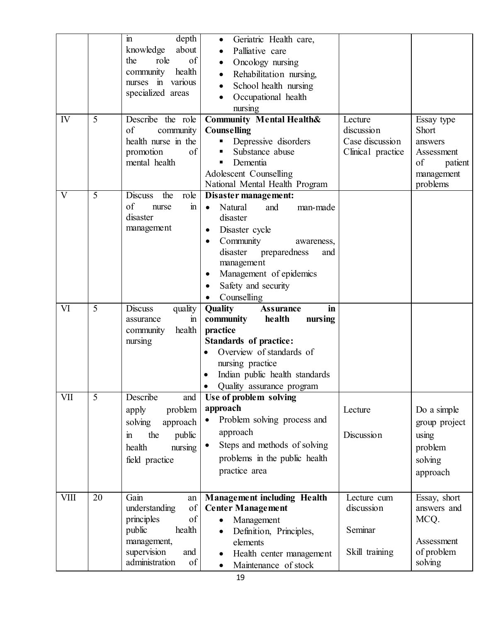|              |    | depth<br>$\mathbf{m}$                      | Geriatric Health care,<br>$\bullet$     |                   |                       |
|--------------|----|--------------------------------------------|-----------------------------------------|-------------------|-----------------------|
|              |    | about<br>knowledge                         | Palliative care                         |                   |                       |
|              |    | of<br>role<br>the                          | Oncology nursing<br>$\bullet$           |                   |                       |
|              |    | community<br>health                        |                                         |                   |                       |
|              |    | nurses in various                          | Rehabilitation nursing,<br>$\bullet$    |                   |                       |
|              |    | specialized areas                          | School health nursing                   |                   |                       |
|              |    |                                            | Occupational health                     |                   |                       |
|              |    |                                            | nursing                                 |                   |                       |
| IV           | 5  | Describe the role                          | <b>Community Mental Health&amp;</b>     | Lecture           | Essay type            |
|              |    | of<br>community                            | <b>Counselling</b>                      | discussion        | Short                 |
|              |    | health nurse in the                        | Depressive disorders                    | Case discussion   | answers               |
|              |    | promotion<br>of                            | Substance abuse                         | Clinical practice | Assessment            |
|              |    | mental health                              | Dementia                                |                   | of<br>patient         |
|              |    |                                            | Adolescent Counselling                  |                   | management            |
|              |    |                                            | National Mental Health Program          |                   | problems              |
| $\mathbf{V}$ | 5  | the<br><b>Discuss</b><br>role              | Disaster management:                    |                   |                       |
|              |    | of<br>$\overline{m}$<br>nurse              | Natural<br>and<br>man-made<br>$\bullet$ |                   |                       |
|              |    | disaster                                   | disaster                                |                   |                       |
|              |    | management                                 | Disaster cycle<br>$\bullet$             |                   |                       |
|              |    |                                            | Community<br>awareness,<br>$\bullet$    |                   |                       |
|              |    |                                            | disaster preparedness<br>and            |                   |                       |
|              |    |                                            | management                              |                   |                       |
|              |    |                                            | Management of epidemics                 |                   |                       |
|              |    |                                            | Safety and security                     |                   |                       |
|              |    |                                            | Counselling                             |                   |                       |
|              |    |                                            |                                         |                   |                       |
| VI           | 5  | <b>Discuss</b><br>quality                  | Quality<br>in<br><b>Assurance</b>       |                   |                       |
|              |    | assurance<br>m                             | community<br>health<br>nursing          |                   |                       |
|              |    | health<br>community                        | practice                                |                   |                       |
|              |    | nursing                                    | <b>Standards of practice:</b>           |                   |                       |
|              |    |                                            | Overview of standards of                |                   |                       |
|              |    |                                            | nursing practice                        |                   |                       |
|              |    |                                            | Indian public health standards          |                   |                       |
|              |    |                                            | Quality assurance program               |                   |                       |
| VII          | 5  | Describe<br>and                            | Use of problem solving                  |                   |                       |
|              |    |                                            | approach                                | Lecture           | Do a simple           |
|              |    | problem<br>apply                           |                                         |                   |                       |
|              |    | solving<br>approach                        | Problem solving process and             |                   | group project         |
|              |    | the<br>public<br>$\mathbf{m}$              | approach                                | Discussion        | using                 |
|              |    | health<br>nursing                          | Steps and methods of solving            |                   | problem               |
|              |    | field practice                             | problems in the public health           |                   | solving               |
|              |    |                                            | practice area                           |                   | approach              |
|              |    |                                            |                                         |                   |                       |
| <b>VIII</b>  | 20 | Gain<br>an                                 | <b>Management including Health</b>      | Lecture cum       | Essay, short          |
|              |    | of<br>understanding                        | <b>Center Management</b>                | discussion        | answers and           |
|              |    | of<br>principles                           | Management<br>$\bullet$                 |                   | MCQ.                  |
|              |    | public<br>health                           | Definition, Principles,<br>$\bullet$    | Seminar           |                       |
|              |    | management,                                | elements                                |                   | Assessment            |
|              |    | supervision<br>and<br>administration<br>of | Health center management                | Skill training    | of problem<br>solving |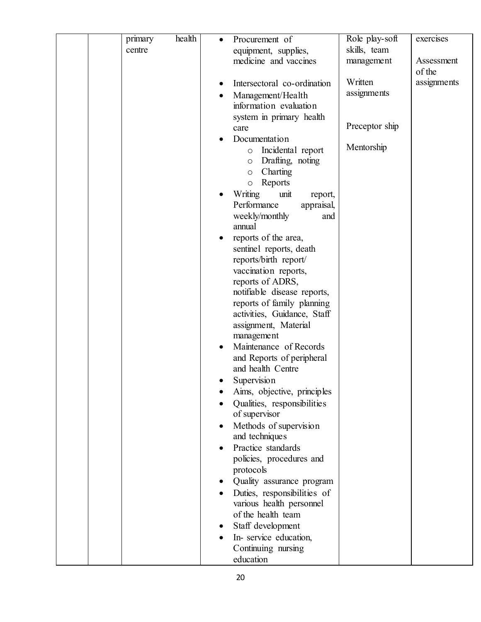| primary | health | Procurement of                                  | Role play-soft | exercises   |
|---------|--------|-------------------------------------------------|----------------|-------------|
| centre  |        | equipment, supplies,                            | skills, team   |             |
|         |        | medicine and vaccines                           | management     | Assessment  |
|         |        |                                                 |                | of the      |
|         |        | Intersectoral co-ordination                     | Written        | assignments |
|         |        | Management/Health                               | assignments    |             |
|         |        | information evaluation                          |                |             |
|         |        | system in primary health                        |                |             |
|         |        | care                                            | Preceptor ship |             |
|         |        | Documentation                                   |                |             |
|         |        | Incidental report<br>$\circ$                    | Mentorship     |             |
|         |        | Drafting, noting<br>$\circ$                     |                |             |
|         |        | Charting<br>$\circ$                             |                |             |
|         |        | Reports<br>$\circ$                              |                |             |
|         |        | <b>Writing</b><br>unit<br>report,               |                |             |
|         |        | Performance<br>appraisal,                       |                |             |
|         |        | weekly/monthly<br>and                           |                |             |
|         |        | annual                                          |                |             |
|         |        | reports of the area,<br>sentinel reports, death |                |             |
|         |        | reports/birth report/                           |                |             |
|         |        | vaccination reports,                            |                |             |
|         |        | reports of ADRS,                                |                |             |
|         |        | notifiable disease reports,                     |                |             |
|         |        | reports of family planning                      |                |             |
|         |        | activities, Guidance, Staff                     |                |             |
|         |        | assignment, Material                            |                |             |
|         |        | management                                      |                |             |
|         |        | Maintenance of Records                          |                |             |
|         |        | and Reports of peripheral                       |                |             |
|         |        | and health Centre                               |                |             |
|         |        | Supervision                                     |                |             |
|         |        | Aims, objective, principles                     |                |             |
|         |        | Qualities, responsibilities                     |                |             |
|         |        | of supervisor                                   |                |             |
|         |        | Methods of supervision<br>and techniques        |                |             |
|         |        | Practice standards                              |                |             |
|         |        | policies, procedures and                        |                |             |
|         |        | protocols                                       |                |             |
|         |        | Quality assurance program                       |                |             |
|         |        | Duties, responsibilities of                     |                |             |
|         |        | various health personnel                        |                |             |
|         |        | of the health team                              |                |             |
|         |        | Staff development                               |                |             |
|         |        | In-service education,                           |                |             |
|         |        | Continuing nursing                              |                |             |
|         |        | education                                       |                |             |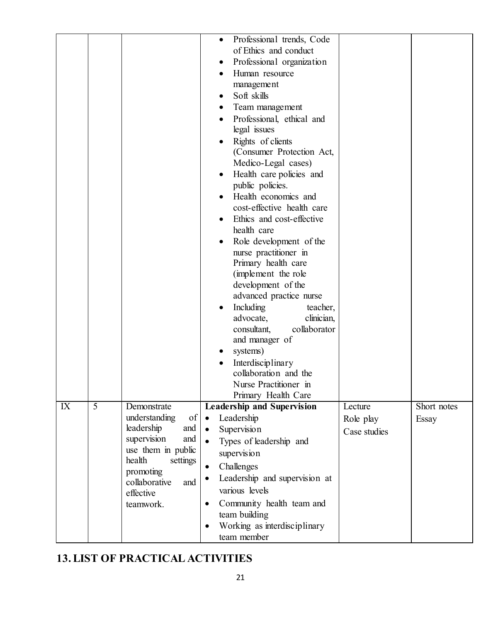|    |                |                                                                                                                                                                                          | Professional trends, Code<br>$\bullet$<br>of Ethics and conduct<br>Professional organization<br>$\bullet$<br>Human resource<br>management<br>Soft skills<br>Team management<br>Professional, ethical and<br>legal issues<br>Rights of clients<br>(Consumer Protection Act,<br>Medico-Legal cases)<br>Health care policies and<br>public policies.<br>Health economics and<br>cost-effective health care<br>Ethics and cost-effective<br>health care<br>Role development of the<br>nurse practitioner in<br>Primary health care<br>(implement the role)<br>development of the<br>advanced practice nurse<br>Including<br>teacher,<br>advocate,<br>clinician,<br>collaborator<br>consultant,<br>and manager of<br>systems)<br>Interdisciplinary<br>collaboration and the<br>Nurse Practitioner in<br>Primary Health Care |                                      |                      |
|----|----------------|------------------------------------------------------------------------------------------------------------------------------------------------------------------------------------------|------------------------------------------------------------------------------------------------------------------------------------------------------------------------------------------------------------------------------------------------------------------------------------------------------------------------------------------------------------------------------------------------------------------------------------------------------------------------------------------------------------------------------------------------------------------------------------------------------------------------------------------------------------------------------------------------------------------------------------------------------------------------------------------------------------------------|--------------------------------------|----------------------|
|    |                |                                                                                                                                                                                          |                                                                                                                                                                                                                                                                                                                                                                                                                                                                                                                                                                                                                                                                                                                                                                                                                        |                                      |                      |
| IX | $\overline{5}$ | Demonstrate<br>of<br>understanding<br>leadership<br>and<br>supervision<br>and<br>use them in public<br>health<br>settings<br>promoting<br>collaborative<br>and<br>effective<br>teamwork. | <b>Leadership and Supervision</b><br>Leadership<br>$\bullet$<br>Supervision<br>$\bullet$<br>Types of leadership and<br>$\bullet$<br>supervision<br>Challenges<br>$\bullet$<br>Leadership and supervision at<br>various levels<br>Community health team and<br>$\bullet$<br>team building<br>Working as interdisciplinary<br>team member                                                                                                                                                                                                                                                                                                                                                                                                                                                                                | Lecture<br>Role play<br>Case studies | Short notes<br>Essay |

# **13. LIST OF PRACTICAL ACTIVITIES**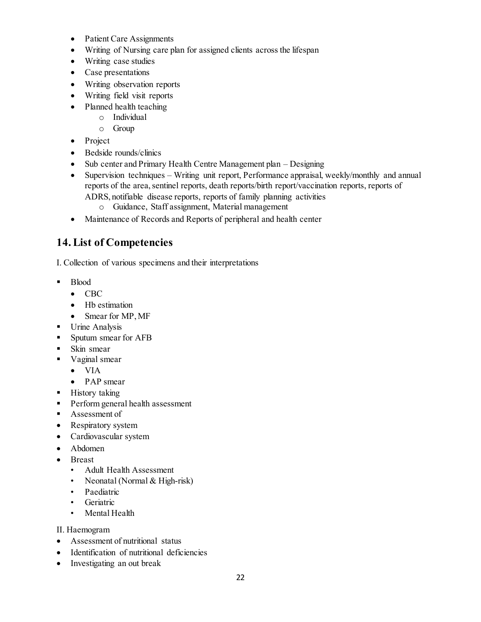- Patient Care Assignments
- Writing of Nursing care plan for assigned clients across the lifespan
- Writing case studies
- Case presentations
- Writing observation reports
- Writing field visit reports
- Planned health teaching
	- o Individual
	- o Group
- Project
- Bedside rounds/clinics
- Sub center and Primary Health Centre Management plan Designing
- Supervision techniques Writing unit report, Performance appraisal, weekly/monthly and annual reports of the area, sentinel reports, death reports/birth report/vaccination reports, reports of ADRS, notifiable disease reports, reports of family planning activities
	- o Guidance, Staff assignment, Material management
- Maintenance of Records and Reports of peripheral and health center

## **14. List of Competencies**

I. Collection of various specimens and their interpretations

- Blood
	- CBC
	- Hb estimation
	- Smear for MP, MF
- **Urine Analysis**
- Sputum smear for AFB
- Skin smear
- Vaginal smear
	- VIA
	- PAP smear
- History taking
- **Perform general health assessment**
- **Assessment of**
- Respiratory system
- Cardiovascular system
- Abdomen
- Breast
	- Adult Health Assessment
	- Neonatal (Normal & High-risk)
	- Paediatric
	- Geriatric
	- Mental Health

#### II. Haemogram

- Assessment of nutritional status
- Identification of nutritional deficiencies
- Investigating an out break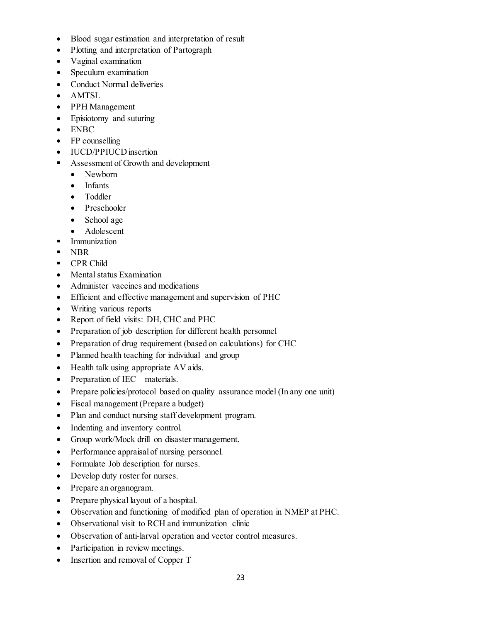- Blood sugar estimation and interpretation of result
- Plotting and interpretation of Partograph
- Vaginal examination
- Speculum examination
- Conduct Normal deliveries
- AMTSL
- PPH Management
- Episiotomy and suturing
- ENBC
- FP counselling
- IUCD/PPIUCD insertion
- Assessment of Growth and development
	- Newborn
	- Infants
	- Toddler
	- Preschooler
	- School age
	- Adolescent
- **Immunization**
- **NBR**
- **CPR Child**
- Mental status Examination
- Administer vaccines and medications
- Efficient and effective management and supervision of PHC
- Writing various reports
- Report of field visits: DH, CHC and PHC
- Preparation of job description for different health personnel
- Preparation of drug requirement (based on calculations) for CHC
- Planned health teaching for individual and group
- Health talk using appropriate AV aids.
- Preparation of IEC materials.
- Prepare policies/protocol based on quality assurance model (In any one unit)
- Fiscal management (Prepare a budget)
- Plan and conduct nursing staff development program.
- Indenting and inventory control.
- Group work/Mock drill on disaster management.
- Performance appraisal of nursing personnel.
- Formulate Job description for nurses.
- Develop duty roster for nurses.
- Prepare an organogram.
- Prepare physical layout of a hospital.
- Observation and functioning of modified plan of operation in NMEP at PHC.
- Observational visit to RCH and immunization clinic
- Observation of anti-larval operation and vector control measures.
- Participation in review meetings.
- Insertion and removal of Copper T